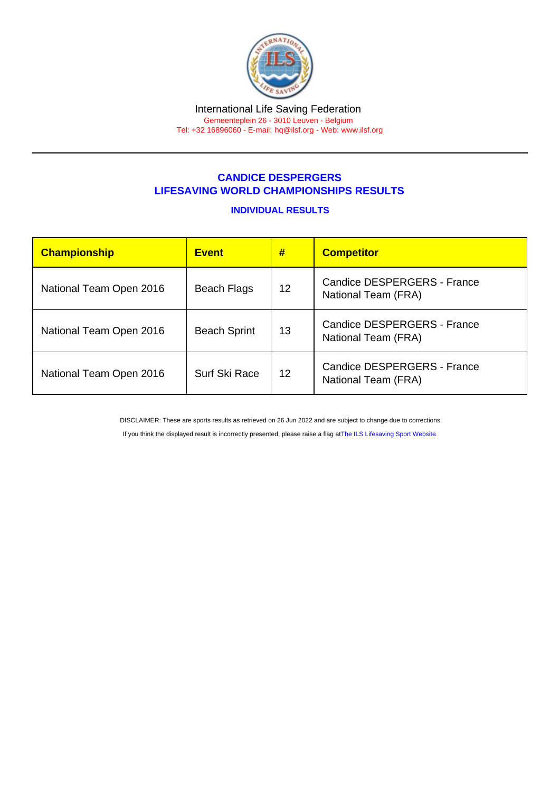## CANDICE DESPERGERS LIFESAVING WORLD CHAMPIONSHIPS RESULTS

## INDIVIDUAL RESULTS

| Championship            | <b>Event</b>        | #                 | <b>Competitor</b>                                         |  |
|-------------------------|---------------------|-------------------|-----------------------------------------------------------|--|
| National Team Open 2016 | Beach Flags         | 12                | Candice DESPERGERS - France<br>National Team (FRA)        |  |
| National Team Open 2016 | <b>Beach Sprint</b> | 13                | <b>Candice DESPERGERS - France</b><br>National Team (FRA) |  |
| National Team Open 2016 | Surf Ski Race       | $12 \overline{ }$ | Candice DESPERGERS - France<br>National Team (FRA)        |  |

DISCLAIMER: These are sports results as retrieved on 26 Jun 2022 and are subject to change due to corrections.

If you think the displayed result is incorrectly presented, please raise a flag at [The ILS Lifesaving Sport Website.](https://sport.ilsf.org)